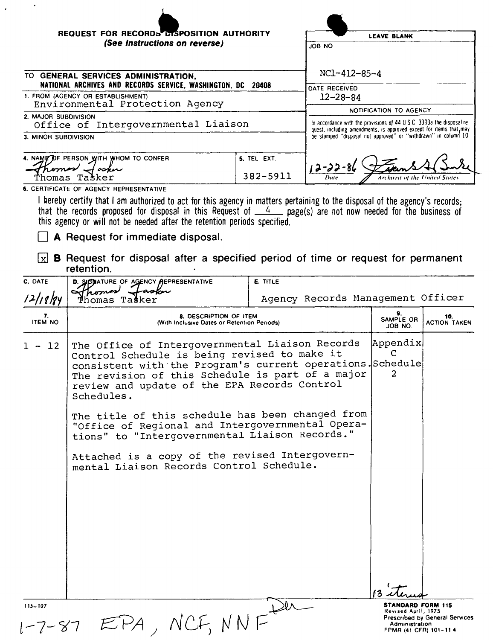| REQUEST FOR RECORDS DISPOSITION AUTHORITY                                                          | <b>LEAVE BLANK</b>      |                                                                       |  |
|----------------------------------------------------------------------------------------------------|-------------------------|-----------------------------------------------------------------------|--|
| (See Instructions on reverse)                                                                      | JOB NO                  |                                                                       |  |
| TO GENERAL SERVICES ADMINISTRATION,<br>NATIONAL ARCHIVES AND RECORDS SERVICE, WASHINGTON, DC 20408 |                         | $NC1 - 412 - 85 - 4$<br>DATE RECEIVED                                 |  |
| 1. FROM (AGENCY OR ESTABLISHMENT)                                                                  | $12 - 28 - 84$          |                                                                       |  |
| Environmental Protection Agency                                                                    | NOTIFICATION TO AGENCY  |                                                                       |  |
| 2. MAJOR SUBDIVISION                                                                               |                         | In accordance with the provisions of 44 U.S.C. 3303a the disposal re- |  |
| Office of Intergovernmental Liaison                                                                |                         | quest, including amendments, is approved except for items that may    |  |
| 3. MINOR SUBDIVISION                                                                               |                         | be stamped "disposal not approved" or "withdrawn" in column 10        |  |
| 4. NAME DF PERSON WITH WHOM TO CONFER                                                              | 5. TEL EXT.<br>382-5911 | $12 - 22 - 81$<br>Dute<br>Archivist of the United States              |  |

6. CERTIFICATE OF AGENCY REPRESENTATIVE

 $\ddot{\phantom{0}}$ 

I hereby certify that I am authorized to act for this agency in matters pertaining to the disposal of the agency's records;<br>that the records proposed for disposal in this Request of  $\frac{4}{100}$  page(s) are not now needed

A Request for immediate disposal.

 $\boxed{\times}$  **B** Request for disposal after a specified period of time or request for permanent retention.

| C. DATE<br>12/18/84  | D. SIGMATURE OF AGENCY AEPRESENTATIVE<br>romas<br>asin<br>homas Tašker                                                                                                                                                                                                                      | <b>E. TITLE</b><br>Agency Records Management Officer |                                                                                             |                                |
|----------------------|---------------------------------------------------------------------------------------------------------------------------------------------------------------------------------------------------------------------------------------------------------------------------------------------|------------------------------------------------------|---------------------------------------------------------------------------------------------|--------------------------------|
| 7.<br><b>ITEM NO</b> | 8. DESCRIPTION OF ITEM<br>(With Inclusive Dates or Retention Periods)                                                                                                                                                                                                                       |                                                      |                                                                                             | 10.<br><b>ACTION TAKEN</b>     |
| 12                   | Appendix<br>The Office of Intergovernmental Liaison Records<br>Control Schedule is being revised to make it<br>consistent with the Program's current operations. Schedule<br>The revision of this Schedule is part of a major<br>review and update of the EPA Records Control<br>Schedules. |                                                      |                                                                                             |                                |
|                      | The title of this schedule has been changed from<br>"Office of Regional and Intergovernmental Opera-<br>tions" to "Intergovernmental Liaison Records."                                                                                                                                      |                                                      |                                                                                             |                                |
|                      | Attached is a copy of the revised Intergovern-<br>mental Liaison Records Control Schedule.                                                                                                                                                                                                  |                                                      |                                                                                             |                                |
| 115-107<br>1-7-87    | NCF, NNF                                                                                                                                                                                                                                                                                    |                                                      | <b>STANDARD FORM 115</b><br>Revised April, 1975<br>Administration<br>FPMR (41 CFR) 101-11 4 | Prescribed by General Services |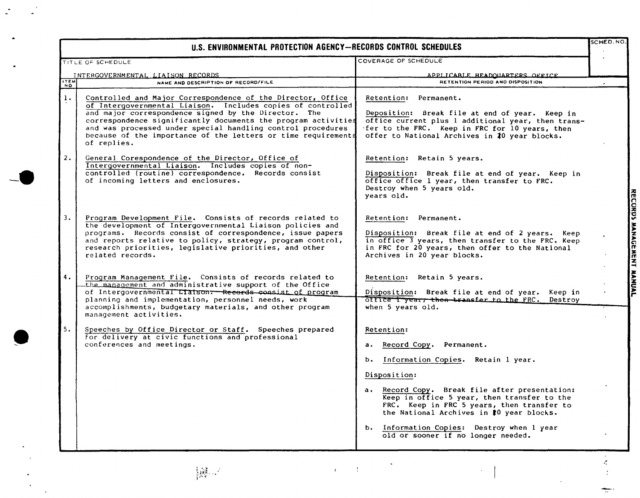| U.S. ENVIRONMENTAL PROTECTION AGENCY-RECORDS CONTROL SCHEDULES |                                                                                                                                                                                                                                                                                                                                                                                                    |                                                                                                                                                                                                                                                                                                                                                                                            |                           |
|----------------------------------------------------------------|----------------------------------------------------------------------------------------------------------------------------------------------------------------------------------------------------------------------------------------------------------------------------------------------------------------------------------------------------------------------------------------------------|--------------------------------------------------------------------------------------------------------------------------------------------------------------------------------------------------------------------------------------------------------------------------------------------------------------------------------------------------------------------------------------------|---------------------------|
|                                                                | TITLE OF SCHEDULE                                                                                                                                                                                                                                                                                                                                                                                  | COVERAGE OF SCHEDULE                                                                                                                                                                                                                                                                                                                                                                       |                           |
| <b>ITEM</b>                                                    | INTERGOVERNMENTAL LIAISON RECORDS<br>NAME AND DESCRIPTION OF RECORD/FILE                                                                                                                                                                                                                                                                                                                           | APPLICARLE HEADOUARTERS OFFICE<br>RETENTION PERIOD AND DISPOSITION                                                                                                                                                                                                                                                                                                                         |                           |
| 1.                                                             | Controlled and Major Correspondence of the Director, Office<br>of Intergovernmental Liaison. Includes copies of controlled<br>and major correspondence signed by the Director. The<br>correspondence significantly documents the program activities<br>and was processed under special handling control procedures<br>because of the importance of the letters or time requirements<br>of replies. | Retention: Permanent.<br>Deposition: Break file at end of year. Keep in<br>office current plus 1 additional year, then trans-<br>fer to the FRC. Keep in FRC for 10 years, then<br>offer to National Archives in 10 year blocks.                                                                                                                                                           |                           |
| 2.                                                             | General Corespondence of the Director, Office of<br>Intergovernmental Liaison. Includes copies of non-<br>controlled (routine) correspondence. Records consist<br>of incoming letters and enclosures.                                                                                                                                                                                              | Retention: Retain 5 years.<br>Disposition: Break file at end of year. Keep in<br>office office 1 year, then transfer to FRC.<br>Destroy when 5 years old.<br>vears old.                                                                                                                                                                                                                    |                           |
| 3.                                                             | Program Development File. Consists of records related to<br>the development of Intergovernmental Liaison policies and<br>programs. Records consist of correspondence, issue papers<br>and reports relative to policy, strategy, program control,<br>research priorities, legislative priorities, and other<br>related records.                                                                     | Retention: Permanent.<br>Disposition: Break file at end of 2 years. Keep<br>in office 3 years, then transfer to the FRC. Keep<br>in FRC for 20 years, then offer to the National<br>Archives in 20 year blocks.                                                                                                                                                                            | RECORDS MANAGEMENT MANUAL |
| 4.                                                             | Program Management File. Consists of records related to<br>the management and administrative support of the Office<br>of Intergovernmental Liaison: Records consist of program<br>planning and implementation, personnel needs, work<br>accomplishments, budgetary materials, and other program<br>management activities.                                                                          | Retention: Retain 5 years.<br>Disposition: Break file at end of year. Keep in<br>office I year, then transfer to the FRC.<br>Destroy<br>when 5 years old.                                                                                                                                                                                                                                  |                           |
| 5.                                                             | Speeches by Office Director or Staff. Speeches prepared<br>for delivery at civic functions and professional<br>conferences and meetings.                                                                                                                                                                                                                                                           | Retention:<br>Record Copy. Permanent.<br>$a \cdot$<br>b. Information Copies. Retain 1 year.<br>Disposition:<br>a. Record Copy. Break file after presentation:<br>Keep in office 5 year, then transfer to the<br>FRC. Keep in FRC 5 years, then transfer to<br>the National Archives in #0 year blocks.<br>b. Information Copies: Destroy when 1 year<br>old or sooner if no longer needed. |                           |

 $\frac{1}{2}\prod_{i=1}^{n-1}\frac{1}{n_i}$ 

 $\mathbf{L}$ 

 $\sim 1$  $\mathbf{u}$ 

 $\zeta$ 

ł.

÷

 $\ddot{\phantom{a}}$ 

 $\mathbf{I}$ 

 $\mathcal{L}^{\pm}$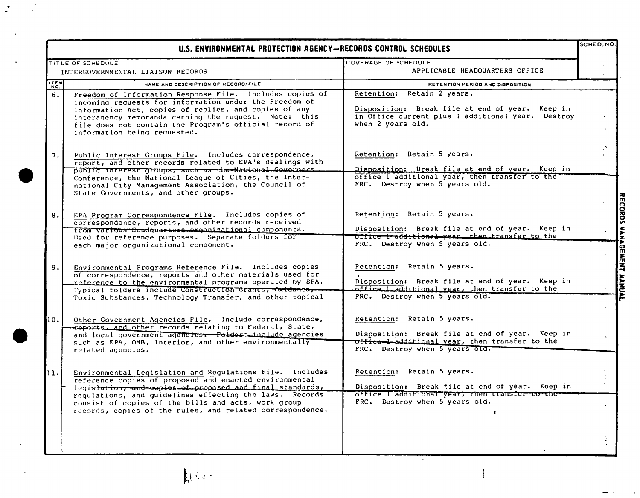| U.S. ENVIRONMENTAL PROTECTION AGENCY-RECORDS CONTROL SCHEDULES |                                                                                                                                                                                                                                                                                                                                                                            |                                                                                                                                                                   | SCHED.NO.                                    |
|----------------------------------------------------------------|----------------------------------------------------------------------------------------------------------------------------------------------------------------------------------------------------------------------------------------------------------------------------------------------------------------------------------------------------------------------------|-------------------------------------------------------------------------------------------------------------------------------------------------------------------|----------------------------------------------|
|                                                                | TITLE OF SCHEDULE                                                                                                                                                                                                                                                                                                                                                          | COVERAGE OF SCHEDULE                                                                                                                                              |                                              |
| INTERGOVERNMENTAL LIAISON RECORDS                              |                                                                                                                                                                                                                                                                                                                                                                            | APPLICABLE HEADOUARTERS OFFICE                                                                                                                                    |                                              |
| <b>THEM</b>                                                    | NAME AND DESCRIPTION OF RECORD/FILE                                                                                                                                                                                                                                                                                                                                        | RETENTION PERIOD AND DISPOSITION                                                                                                                                  |                                              |
| $\overline{6}$ .                                               | Freedom of Information Response File. Includes copies of<br>incoming requests for information under the Freedom of<br>Information Act, copies of replies, and copies of any<br>interagency memoranda cerning the request. Note: this<br>file does not contain the Program's official record of<br>information being requested.                                             | Retention: Retain 2 years.<br>Disposition: Break file at end of year. Keep in<br>in Office current plus 1 additional year. Destroy<br>when 2 years old.           | $\mathbf{r}_{\rm eff}$                       |
| 7.                                                             | Public Interest Groups File. Includes correspondence,<br>report, and other records related to EPA's dealings with<br>public interest groups, such as the National Comernars.<br>Conference, the National League of Cities, the Inter-<br>national City Management Association, the Council of<br>State Governments, and other groups.                                      | Retention: Retain 5 years.<br>Disposition: Break file at end of year. Keep in<br>office I additional year, then transfer to the<br>FRC. Destroy when 5 years old. | $\ddot{\phantom{a}}$<br>$\ddot{\phantom{1}}$ |
| 8.                                                             | EPA Program Correspondence File. Includes copies of<br>correspondence, reports, and other records received<br>from various Headquertors organizational components.<br>Used for reference purposes. Separate folders for<br>each major organizational component.                                                                                                            | Retention: Retain 5 years.<br>Disposition: Break file at end of year. Keep in<br>Office i additional year, then transfer to the<br>FRC. Destroy when 5 years old. | RECORDS MANAGEMENT MANUAL                    |
| 9.                                                             | Environmental Programs Reference File. Includes copies<br>of correspondence, reports and other materials used for<br>reference to the environmental programs operated by EPA.<br>Typical folders include Construction Grants; Oxidanto,<br>Toxic Substances, Technology Transfer, and other topical                                                                        | Retention: Retain 5 years.<br>Disposition: Break file at end of year. Keep in<br>office ladditional year, then transfer to the<br>FRC. Destroy when 5 years old.  |                                              |
| 11 O .                                                         | Other Government Agencies File. Include correspondence,<br>reports, and other records relating to Federal, State,<br>and local government agencies. Folder include agencies<br>such as EPA, OMB, Interior, and other environmentally<br>related agencies.                                                                                                                  | Retention: Retain 5 years.<br>Disposition: Break file at end of year. Keep in<br>office-Ladditional year, then transfer to the<br>FRC. Destroy when 5 years old.  |                                              |
| 11.                                                            | Environmental Legislation and Regulations File. Includes<br>reference copies of proposed and enacted environmental<br>iegi <del>slation, and co</del> pies of proposed and final standards,<br>regulations, and quidelines effecting the laws. Records<br>consist of copies of the bills and acts, work group<br>records, copies of the rules, and related correspondence. | Retention: Retain 5 years.<br>Disposition: Break file at end of year. Keep in<br>office I additional year, then transfer to the<br>FRC. Destroy when 5 years old. |                                              |
|                                                                |                                                                                                                                                                                                                                                                                                                                                                            |                                                                                                                                                                   |                                              |

## **DAR**

 $\ddot{\cdot}$ 

 $\frac{1}{2}$ 

 $\mathcal{I}% _{0}=\mathcal{I}_{0}=\mathcal{I}_{0}=\mathcal{I}_{0}=\mathcal{I}_{0}=\mathcal{I}_{0}=\mathcal{I}_{0}=\mathcal{I}_{0}=\mathcal{I}_{0}=\mathcal{I}_{1}=\mathcal{I}_{1}=\mathcal{I}_{1}=\mathcal{I}_{2}=\mathcal{I}_{3}=\mathcal{I}_{4}=\mathcal{I}_{5}=\mathcal{I}_{6}=\mathcal{I}_{7}=\mathcal{I}_{8}=\mathcal{I}_{9}=\mathcal{I}_{1}=\mathcal{I}_{1}=\mathcal{I}_{1}=\mathcal{I}_{2}=\mathcal{I}_{3}=\mathcal{I}_{4}=\mathcal{I}_{5}=\math$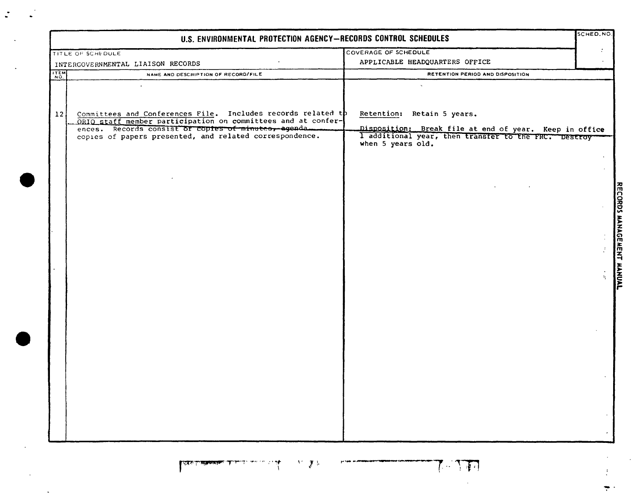|                                   | U.S. ENVIRONMENTAL PROTECTION AGENCY-RECORDS CONTROL SCHEDULES                                                               |                                                                                                                                     | SCHED.NO.                       |
|-----------------------------------|------------------------------------------------------------------------------------------------------------------------------|-------------------------------------------------------------------------------------------------------------------------------------|---------------------------------|
|                                   | TITLE OF SCHEDULE                                                                                                            | COVERAGE OF SCHEDULE                                                                                                                | $\cdot$                         |
| INTERGOVERNMENTAL LIAISON RECORDS |                                                                                                                              | APPLICABLE HEADQUARTERS OFFICE                                                                                                      |                                 |
| $\frac{1}{N}$                     | NAME AND DESCRIPTION OF RECORD/FILE                                                                                          | RETENTION PERIOD AND DISPOSITION                                                                                                    |                                 |
| 12 <sup>1</sup>                   | Committees and Conferences File. Includes records related tp<br>ORIO staff member participation on committees and at confer- | Retention: Retain 5 years.                                                                                                          |                                 |
|                                   | ences. Records consist of copies of minutes, agenda.<br>copies of papers presented, and related correspondence.              | Disposition: Break file at end of year. Keep in office<br>I additional year, then transfer to the FRC. Destroy<br>when 5 years old. | RECORDS MANAGEMENT MANUAL<br>÷. |

الى بىلى بىلى ئىسىلىكى تىغغىغىغانغان تەلىكى<br>مەنبىي بىلى بىلى ئىسىلىكى تەھەممەتتە تەلىكى  $\mathcal{N}=\sum_{i=1}^n\mathcal{V}_i$ 

 $\ddot{\cdot}$ 

 $\sim$ 

THE

 $\sim$ 

-pinas automas partiti algunamo territorium.<br>...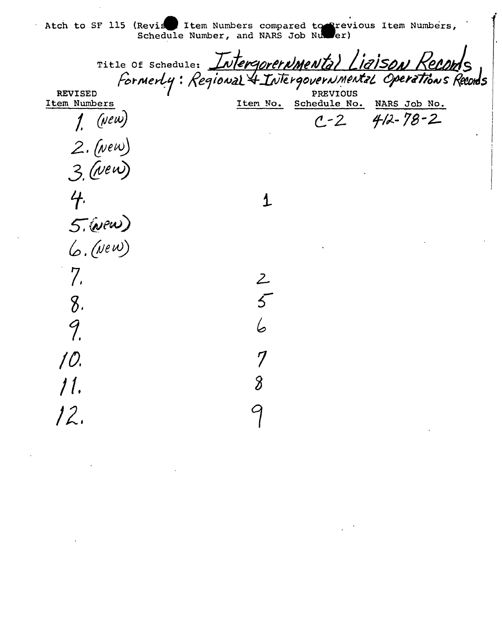Atch to SF 115 (Revise Item Numbers compared to Previous Item Numbers,<br>Schedule Number, and NARS Job Number)

|                | Title Of Schedule: Intergorernmental Ligison Recol        |          |                       |                                |  |
|----------------|-----------------------------------------------------------|----------|-----------------------|--------------------------------|--|
| <b>REVISED</b> | Formerly: Regional & Intergovernmental Operations Records |          | <b>PREVIOUS</b>       |                                |  |
| Item Numbers   |                                                           | Item No. | Schedule No.<br>$C-2$ | NARS Job No.<br>$412 - 78 - 2$ |  |
| $1.$ (New)     |                                                           |          |                       |                                |  |
| $2.$ (New)     |                                                           |          |                       |                                |  |
| $3.$ (New)     |                                                           |          |                       |                                |  |
| 4.             |                                                           |          |                       |                                |  |
| 5. (vew)       |                                                           |          |                       |                                |  |
| $6.$ (New)     |                                                           |          |                       |                                |  |
|                |                                                           | Ζ        |                       |                                |  |
| 8 <sub>1</sub> |                                                           |          |                       |                                |  |
| 9              |                                                           |          |                       |                                |  |
| 10.            |                                                           |          |                       |                                |  |
| 11.            |                                                           |          |                       |                                |  |
| 12.            |                                                           |          |                       |                                |  |
|                |                                                           |          |                       |                                |  |